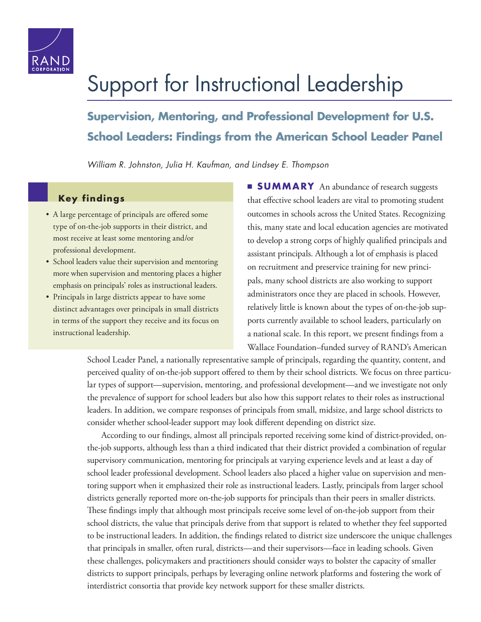

# Support for Instructional Leadership

**Supervision, Mentoring, and Professional Development for U.S. School Leaders: Findings from the American School Leader Panel**

*William R. Johnston, Julia H. Kaufman, and Lindsey E. Thompson*

# **Key findings**

- A large percentage of principals are offered some type of on-the-job supports in their district, and most receive at least some mentoring and/or professional development.
- School leaders value their supervision and mentoring more when supervision and mentoring places a higher emphasis on principals' roles as instructional leaders.
- Principals in large districts appear to have some distinct advantages over principals in small districts in terms of the support they receive and its focus on instructional leadership.

**SUMMARY** An abundance of research suggests that effective school leaders are vital to promoting student outcomes in schools across the United States. Recognizing this, many state and local education agencies are motivated to develop a strong corps of highly qualified principals and assistant principals. Although a lot of emphasis is placed on recruitment and preservice training for new principals, many school districts are also working to support administrators once they are placed in schools. However, relatively little is known about the types of on-the-job supports currently available to school leaders, particularly on a national scale. In this report, we present findings from a Wallace Foundation–funded survey of RAND's American

School Leader Panel, a nationally representative sample of principals, regarding the quantity, content, and perceived quality of on-the-job support offered to them by their school districts. We focus on three particular types of support—supervision, mentoring, and professional development—and we investigate not only the prevalence of support for school leaders but also how this support relates to their roles as instructional leaders. In addition, we compare responses of principals from small, midsize, and large school districts to consider whether school-leader support may look different depending on district size.

According to our findings, almost all principals reported receiving some kind of district-provided, onthe-job supports, although less than a third indicated that their district provided a combination of regular supervisory communication, mentoring for principals at varying experience levels and at least a day of school leader professional development. School leaders also placed a higher value on supervision and mentoring support when it emphasized their role as instructional leaders. Lastly, principals from larger school districts generally reported more on-the-job supports for principals than their peers in smaller districts. These findings imply that although most principals receive some level of on-the-job support from their school districts, the value that principals derive from that support is related to whether they feel supported to be instructional leaders. In addition, the findings related to district size underscore the unique challenges that principals in smaller, often rural, districts—and their supervisors—face in leading schools. Given these challenges, policymakers and practitioners should consider ways to bolster the capacity of smaller districts to support principals, perhaps by leveraging online network platforms and fostering the work of interdistrict consortia that provide key network support for these smaller districts.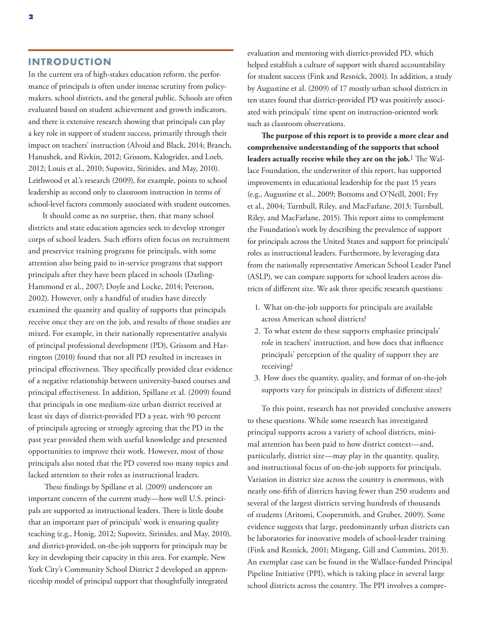#### **INTRODUCTION**

In the current era of high-stakes education reform, the performance of principals is often under intense scrutiny from policymakers, school districts, and the general public. Schools are often evaluated based on student achievement and growth indicators, and there is extensive research showing that principals can play a key role in support of student success, primarily through their impact on teachers' instruction (Alvoid and Black, 2014; Branch, Hanushek, and Rivkin, 2012; Grissom, Kalogrides, and Loeb, 2012; Louis et al., 2010; Supovitz, Sirinides, and May, 2010). Leithwood et al.'s research (2009), for example, points to school leadership as second only to classroom instruction in terms of school-level factors commonly associated with student outcomes.

It should come as no surprise, then, that many school districts and state education agencies seek to develop stronger corps of school leaders. Such efforts often focus on recruitment and preservice training programs for principals, with some attention also being paid to in-service programs that support principals after they have been placed in schools (Darling-Hammond et al., 2007; Doyle and Locke, 2014; Peterson, 2002). However, only a handful of studies have directly examined the quantity and quality of supports that principals receive once they are on the job, and results of those studies are mixed. For example, in their nationally representative analysis of principal professional development (PD), Grissom and Harrington (2010) found that not all PD resulted in increases in principal effectiveness. They specifically provided clear evidence of a negative relationship between university-based courses and principal effectiveness. In addition, Spillane et al. (2009) found that principals in one medium-size urban district received at least six days of district-provided PD a year, with 90 percent of principals agreeing or strongly agreeing that the PD in the past year provided them with useful knowledge and presented opportunities to improve their work. However, most of those principals also noted that the PD covered too many topics and lacked attention to their roles as instructional leaders.

 These findings by Spillane et al. (2009) underscore an important concern of the current study—how well U.S. principals are supported as instructional leaders. There is little doubt that an important part of principals' work is ensuring quality teaching (e.g., Honig, 2012; Supovitz, Sirinides, and May, 2010), and district-provided, on-the-job supports for principals may be key in developing their capacity in this area. For example, New York City's Community School District 2 developed an apprenticeship model of principal support that thoughtfully integrated

evaluation and mentoring with district-provided PD, which helped establish a culture of support with shared accountability for student success (Fink and Resnick, 2001). In addition, a study by Augustine et al. (2009) of 17 mostly urban school districts in ten states found that district-provided PD was positively associated with principals' time spent on instruction-oriented work such as classroom observations.

**The purpose of this report is to provide a more clear and comprehensive understanding of the supports that school leaders actually receive while they are on the job.**1 The Wallace Foundation, the underwriter of this report, has supported improvements in educational leadership for the past 15 years (e.g., Augustine et al., 2009; Bottoms and O'Neill, 2001; Fry et al., 2004; Turnbull, Riley, and MacFarlane, 2013; Turnbull, Riley, and MacFarlane, 2015). This report aims to complement the Foundation's work by describing the prevalence of support for principals across the United States and support for principals' roles as instructional leaders. Furthermore, by leveraging data from the nationally representative American School Leader Panel (ASLP), we can compare supports for school leaders across districts of different size. We ask three specific research questions:

- 1. What on-the-job supports for principals are available across American school districts?
- 2. To what extent do these supports emphasize principals' role in teachers' instruction, and how does that influence principals' perception of the quality of support they are receiving?
- 3. How does the quantity, quality, and format of on-the-job supports vary for principals in districts of different sizes?

To this point, research has not provided conclusive answers to these questions. While some research has investigated principal supports across a variety of school districts, minimal attention has been paid to how district context—and, particularly, district size—may play in the quantity, quality, and instructional focus of on-the-job supports for principals. Variation in district size across the country is enormous, with nearly one-fifth of districts having fewer than 250 students and several of the largest districts serving hundreds of thousands of students (Aritomi, Coopersmith, and Gruber, 2009). Some evidence suggests that large, predominantly urban districts can be laboratories for innovative models of school-leader training (Fink and Resnick, 2001; Mitgang, Gill and Cummins, 2013). An exemplar case can be found in the Wallace-funded Principal Pipeline Initiative (PPI), which is taking place in several large school districts across the country. The PPI involves a compre-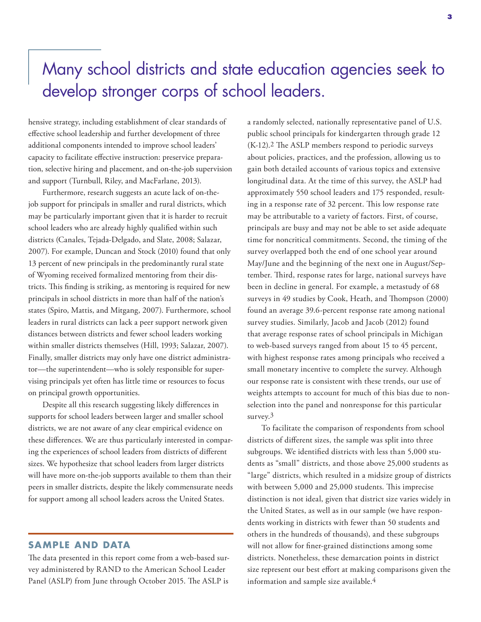# Many school districts and state education agencies seek to develop stronger corps of school leaders.

hensive strategy, including establishment of clear standards of effective school leadership and further development of three additional components intended to improve school leaders' capacity to facilitate effective instruction: preservice preparation, selective hiring and placement, and on-the-job supervision and support (Turnbull, Riley, and MacFarlane, 2013).

Furthermore, research suggests an acute lack of on-thejob support for principals in smaller and rural districts, which may be particularly important given that it is harder to recruit school leaders who are already highly qualified within such districts (Canales, Tejada-Delgado, and Slate, 2008; Salazar, 2007). For example, Duncan and Stock (2010) found that only 13 percent of new principals in the predominantly rural state of Wyoming received formalized mentoring from their districts. This finding is striking, as mentoring is required for new principals in school districts in more than half of the nation's states (Spiro, Mattis, and Mitgang, 2007). Furthermore, school leaders in rural districts can lack a peer support network given distances between districts and fewer school leaders working within smaller districts themselves (Hill, 1993; Salazar, 2007). Finally, smaller districts may only have one district administrator—the superintendent—who is solely responsible for supervising principals yet often has little time or resources to focus on principal growth opportunities.

Despite all this research suggesting likely differences in supports for school leaders between larger and smaller school districts, we are not aware of any clear empirical evidence on these differences. We are thus particularly interested in comparing the experiences of school leaders from districts of different sizes. We hypothesize that school leaders from larger districts will have more on-the-job supports available to them than their peers in smaller districts, despite the likely commensurate needs for support among all school leaders across the United States.

#### **SAMPLE AND DATA**

The data presented in this report come from a web-based survey administered by RAND to the American School Leader Panel (ASLP) from June through October 2015. The ASLP is

a randomly selected, nationally representative panel of U.S. public school principals for kindergarten through grade 12 (K-12).2 The ASLP members respond to periodic surveys about policies, practices, and the profession, allowing us to gain both detailed accounts of various topics and extensive longitudinal data. At the time of this survey, the ASLP had approximately 550 school leaders and 175 responded, resulting in a response rate of 32 percent. This low response rate may be attributable to a variety of factors. First, of course, principals are busy and may not be able to set aside adequate time for noncritical commitments. Second, the timing of the survey overlapped both the end of one school year around May/June and the beginning of the next one in August/September. Third, response rates for large, national surveys have been in decline in general. For example, a metastudy of 68 surveys in 49 studies by Cook, Heath, and Thompson (2000) found an average 39.6-percent response rate among national survey studies. Similarly, Jacob and Jacob (2012) found that average response rates of school principals in Michigan to web-based surveys ranged from about 15 to 45 percent, with highest response rates among principals who received a small monetary incentive to complete the survey. Although our response rate is consistent with these trends, our use of weights attempts to account for much of this bias due to nonselection into the panel and nonresponse for this particular survey.<sup>3</sup>

To facilitate the comparison of respondents from school districts of different sizes, the sample was split into three subgroups. We identified districts with less than 5,000 students as "small" districts, and those above 25,000 students as "large" districts, which resulted in a midsize group of districts with between 5,000 and 25,000 students. This imprecise distinction is not ideal, given that district size varies widely in the United States, as well as in our sample (we have respondents working in districts with fewer than 50 students and others in the hundreds of thousands), and these subgroups will not allow for finer-grained distinctions among some districts. Nonetheless, these demarcation points in district size represent our best effort at making comparisons given the information and sample size available.4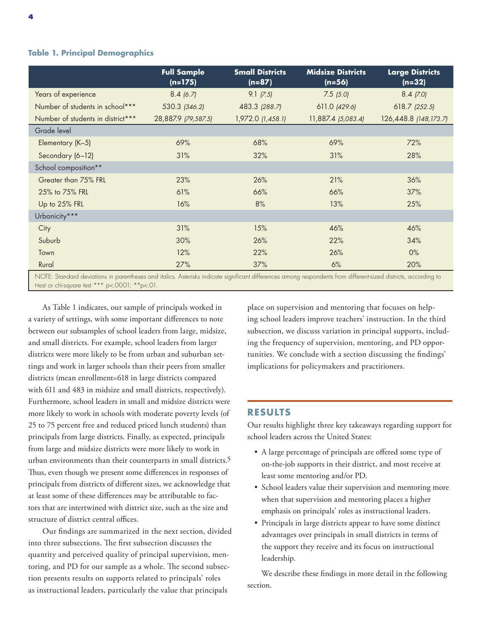#### **Table 1. Principal Demographics**

|                                   | <b>Full Sample</b><br>$(n=175)$ | <b>Small Districts</b><br>$(n=87)$ | <b>Midsize Districts</b><br>$(n=56)$ | <b>Large Districts</b><br>$(n=32)$ |
|-----------------------------------|---------------------------------|------------------------------------|--------------------------------------|------------------------------------|
| Years of experience               | 8.4(6.7)                        | $9.1$ (7.5)                        | $7.5$ $(5.0)$                        | $8.4$ (7.0)                        |
| Number of students in school***   | 530.3 (346.2)                   | 483.3 (288.7)                      | 611.0 (429.6)                        | $618.7$ $(252.5)$                  |
| Number of students in district*** | 28,887.9 (79,587.5)             | 1,972.0 (1,458.1)                  | 11,887.4 (5,083.4)                   | 126,448.8 (148,173.7)              |
| Grade level                       |                                 |                                    |                                      |                                    |
| Elementary (K-5)                  | 69%                             | 68%                                | 69%                                  | 72%                                |
| Secondary (6-12)                  | 31%                             | 32%                                | 31%                                  | 28%                                |
| School composition**              |                                 |                                    |                                      |                                    |
| Greater than 75% FRL              | 23%                             | 26%                                | 21%                                  | 36%                                |
| 25% to 75% FRL                    | 61%                             | 66%                                | 66%                                  | 37%                                |
| Up to 25% FRL                     | 16%                             | 8%                                 | 13%                                  | 25%                                |
| Urbanicity***                     |                                 |                                    |                                      |                                    |
| City                              | 31%                             | 15%                                | 46%                                  | 46%                                |
| Suburb                            | 30%                             | 26%                                | 22%                                  | 34%                                |
| Town                              | 12%                             | 22%                                | 26%                                  | $0\%$                              |
| Rural                             | 27%                             | 37%                                | 6%                                   | 20%                                |

NOTE: Standard deviations in parentheses and italics. Asterisks indicate significant differences among respondents from different-sized districts, according to t-test or chi-square test \*\*\* p<.0001; \*\*p<.01.

As Table 1 indicates, our sample of principals worked in a variety of settings, with some important differences to note between our subsamples of school leaders from large, midsize, and small districts. For example, school leaders from larger districts were more likely to be from urban and suburban settings and work in larger schools than their peers from smaller districts (mean enrollment=618 in large districts compared with 611 and 483 in midsize and small districts, respectively). Furthermore, school leaders in small and midsize districts were more likely to work in schools with moderate poverty levels (of 25 to 75 percent free and reduced priced lunch students) than principals from large districts. Finally, as expected, principals from large and midsize districts were more likely to work in urban environments than their counterparts in small districts.5 Thus, even though we present some differences in responses of principals from districts of different sizes, we acknowledge that at least some of these differences may be attributable to factors that are intertwined with district size, such as the size and structure of district central offices.

Our findings are summarized in the next section, divided into three subsections. The first subsection discusses the quantity and perceived quality of principal supervision, mentoring, and PD for our sample as a whole. The second subsection presents results on supports related to principals' roles as instructional leaders, particularly the value that principals

place on supervision and mentoring that focuses on helping school leaders improve teachers' instruction. In the third subsection, we discuss variation in principal supports, including the frequency of supervision, mentoring, and PD opportunities. We conclude with a section discussing the findings' implications for policymakers and practitioners.

#### **RESULTS**

Our results highlight three key takeaways regarding support for school leaders across the United States:

- A large percentage of principals are offered some type of on-the-job supports in their district, and most receive at least some mentoring and/or PD.
- School leaders value their supervision and mentoring more when that supervision and mentoring places a higher emphasis on principals' roles as instructional leaders.
- Principals in large districts appear to have some distinct advantages over principals in small districts in terms of the support they receive and its focus on instructional leadership.

We describe these findings in more detail in the following section.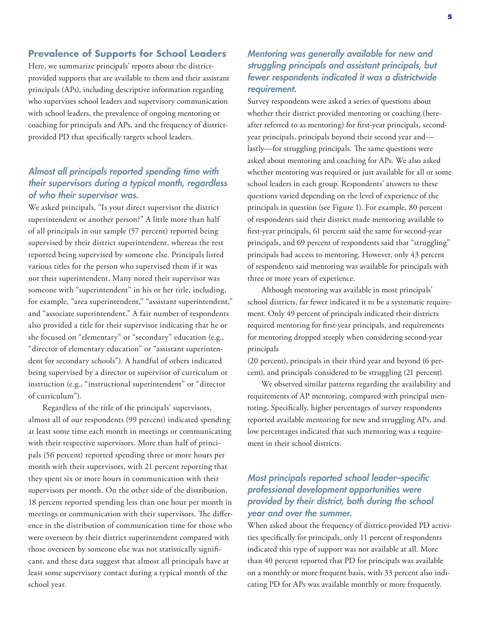#### **Prevalence of Supports for School Leaders**

Here, we summarize principals' reports about the districtprovided supports that are available to them and their assistant principals (APs), including descriptive information regarding who supervises school leaders and supervisory communication with school leaders, the prevalence of ongoing mentoring or coaching for principals and APs, and the frequency of districtprovided PD that specifically targets school leaders.

# *Almost all principals reported spending time with their supervisors during a typical month, regardless of who their supervisor was.*

We asked principals, "Is your direct supervisor the district superintendent or another person?" A little more than half of all principals in our sample (57 percent) reported being supervised by their district superintendent, whereas the rest reported being supervised by someone else. Principals listed various titles for the person who supervised them if it was not their superintendent. Many noted their supervisor was someone with "superintendent" in his or her title, including, for example, "area superintendent," "assistant superintendent," and "associate superintendent." A fair number of respondents also provided a title for their supervisor indicating that he or she focused on "elementary" or "secondary" education (e.g., "director of elementary education" or "assistant superintendent for secondary schools"). A handful of others indicated being supervised by a director or supervisor of curriculum or instruction (e.g., "instructional superintendent" or "director of curriculum").

Regardless of the title of the principals' supervisors, almost all of our respondents (99 percent) indicated spending at least some time each month in meetings or communicating with their respective supervisors. More than half of principals (56 percent) reported spending three or more hours per month with their supervisors, with 21 percent reporting that they spent six or more hours in communication with their supervisors per month. On the other side of the distribution, 18 percent reported spending less than one hour per month in meetings or communication with their supervisors. The difference in the distribution of communication time for those who were overseen by their district superintendent compared with those overseen by someone else was not statistically significant, and these data suggest that almost all principals have at least some supervisory contact during a typical month of the school year.

# *Mentoring was generally available for new and struggling principals and assistant principals, but fewer respondents indicated it was a districtwide requirement.*

Survey respondents were asked a series of questions about whether their district provided mentoring or coaching (hereafter referred to as mentoring) for first-year principals, secondyear principals, principals beyond their second year and lastly—for struggling principals. The same questions were asked about mentoring and coaching for APs. We also asked whether mentoring was required or just available for all or some school leaders in each group. Respondents' answers to these questions varied depending on the level of experience of the principals in question (see Figure 1). For example, 80 percent of respondents said their district made mentoring available to first-year principals, 61 percent said the same for second-year principals, and 69 percent of respondents said that "struggling" principals had access to mentoring. However, only 43 percent of respondents said mentoring was available for principals with three or more years of experience.

Although mentoring was available in most principals' school districts, far fewer indicated it to be a systematic requirement. Only 49 percent of principals indicated their districts required mentoring for first-year principals, and requirements for mentoring dropped steeply when considering second-year principals

(20 percent), principals in their third year and beyond (6 percent), and principals considered to be struggling (21 percent).

We observed similar patterns regarding the availability and requirements of AP mentoring, compared with principal mentoring. Specifically, higher percentages of survey respondents reported available mentoring for new and struggling APs, and low percentages indicated that such mentoring was a requirement in their school districts.

# *Most principals reported school leader–specific professional development opportunities were provided by their district, both during the school year and over the summer.*

When asked about the frequency of district-provided PD activities specifically for principals, only 11 percent of respondents indicated this type of support was not available at all. More than 40 percent reported that PD for principals was available on a monthly or more frequent basis, with 33 percent also indicating PD for APs was available monthly or more frequently.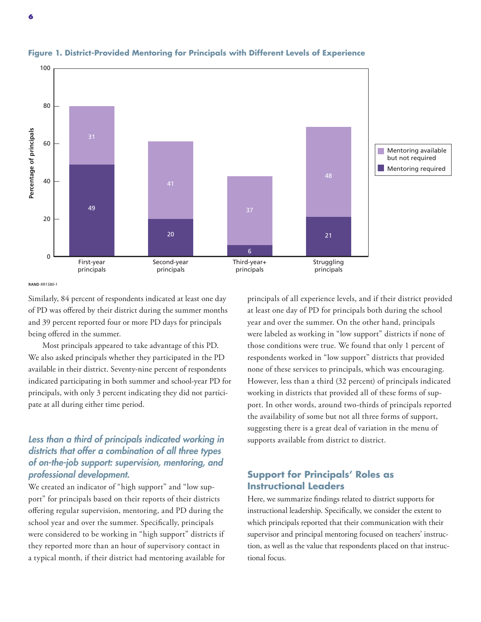

#### **Figure 1. District-Provided Mentoring for Principals with Different Levels of Experience**

Similarly, 84 percent of respondents indicated at least one day of PD was offered by their district during the summer months and 39 percent reported four or more PD days for principals being offered in the summer.

Most principals appeared to take advantage of this PD. We also asked principals whether they participated in the PD available in their district. Seventy-nine percent of respondents indicated participating in both summer and school-year PD for principals, with only 3 percent indicating they did not participate at all during either time period.

# *Less than a third of principals indicated working in districts that offer a combination of all three types of on-the-job support: supervision, mentoring, and professional development.*

We created an indicator of "high support" and "low support" for principals based on their reports of their districts offering regular supervision, mentoring, and PD during the school year and over the summer. Specifically, principals were considered to be working in "high support" districts if they reported more than an hour of supervisory contact in a typical month, if their district had mentoring available for principals of all experience levels, and if their district provided at least one day of PD for principals both during the school year and over the summer. On the other hand, principals were labeled as working in "low support" districts if none of those conditions were true. We found that only 1 percent of respondents worked in "low support" districts that provided none of these services to principals, which was encouraging. However, less than a third (32 percent) of principals indicated working in districts that provided all of these forms of support. In other words, around two-thirds of principals reported the availability of some but not all three forms of support, suggesting there is a great deal of variation in the menu of supports available from district to district.

# **Support for Principals' Roles as Instructional Leaders**

Here, we summarize findings related to district supports for instructional leadership. Specifically, we consider the extent to which principals reported that their communication with their supervisor and principal mentoring focused on teachers' instruction, as well as the value that respondents placed on that instructional focus.

**RAND** *RR1580-1*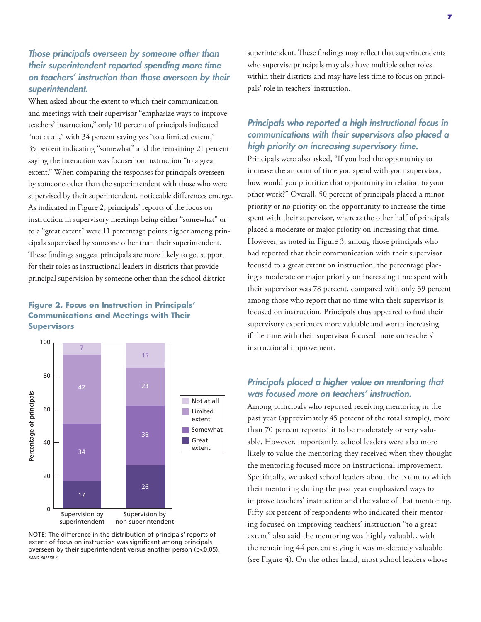# *Those principals overseen by someone other than their superintendent reported spending more time on teachers' instruction than those overseen by their superintendent.*

When asked about the extent to which their communication and meetings with their supervisor "emphasize ways to improve teachers' instruction," only 10 percent of principals indicated "not at all," with 34 percent saying yes "to a limited extent," 35 percent indicating "somewhat" and the remaining 21 percent saying the interaction was focused on instruction "to a great extent." When comparing the responses for principals overseen by someone other than the superintendent with those who were supervised by their superintendent, noticeable differences emerge. As indicated in Figure 2, principals' reports of the focus on instruction in supervisory meetings being either "somewhat" or to a "great extent" were 11 percentage points higher among principals supervised by someone other than their superintendent. These findings suggest principals are more likely to get support for their roles as instructional leaders in districts that provide principal supervision by someone other than the school district

#### **Figure 2. Focus on Instruction in Principals' Communications and Meetings with Their Supervisors**



NOTE: The difference in the distribution of principals' reports of extent of focus on instruction was significant among principals overseen by their superintendent versus another person (p<0.05). **RAND** *RR1580-2*

superintendent. These findings may reflect that superintendents who supervise principals may also have multiple other roles within their districts and may have less time to focus on principals' role in teachers' instruction.

# *Principals who reported a high instructional focus in communications with their supervisors also placed a high priority on increasing supervisory time.*

Principals were also asked, "If you had the opportunity to increase the amount of time you spend with your supervisor, how would you prioritize that opportunity in relation to your other work?" Overall, 50 percent of principals placed a minor priority or no priority on the opportunity to increase the time spent with their supervisor, whereas the other half of principals placed a moderate or major priority on increasing that time. However, as noted in Figure 3, among those principals who had reported that their communication with their supervisor focused to a great extent on instruction, the percentage placing a moderate or major priority on increasing time spent with their supervisor was 78 percent, compared with only 39 percent among those who report that no time with their supervisor is focused on instruction. Principals thus appeared to find their supervisory experiences more valuable and worth increasing if the time with their supervisor focused more on teachers' instructional improvement.

# *Principals placed a higher value on mentoring that was focused more on teachers' instruction.*

Among principals who reported receiving mentoring in the past year (approximately 45 percent of the total sample), more than 70 percent reported it to be moderately or very valuable. However, importantly, school leaders were also more likely to value the mentoring they received when they thought the mentoring focused more on instructional improvement. Specifically, we asked school leaders about the extent to which their mentoring during the past year emphasized ways to improve teachers' instruction and the value of that mentoring. Fifty-six percent of respondents who indicated their mentoring focused on improving teachers' instruction "to a great extent" also said the mentoring was highly valuable, with the remaining 44 percent saying it was moderately valuable (see Figure 4). On the other hand, most school leaders whose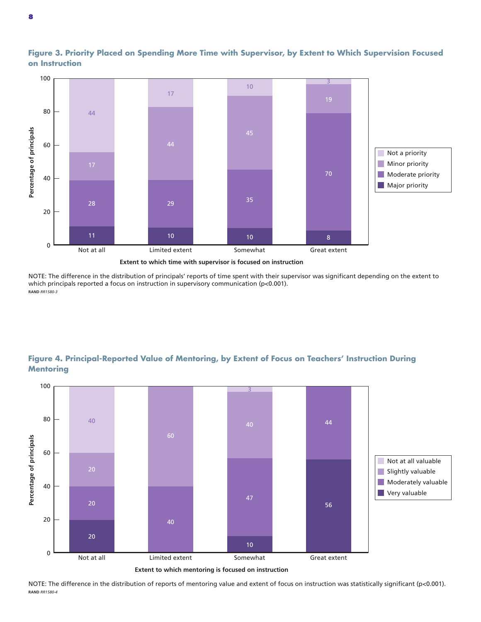

**Figure 3. Priority Placed on Spending More Time with Supervisor, by Extent to Which Supervision Focused on Instruction**

**Extent to which time with supervisor is focused on instruction**

NOTE: The difference in the distribution of principals' reports of time spent with their supervisor was significant depending on the extent to which principals reported a focus on instruction in supervisory communication (p<0.001). **RAND** *RR1580-3*

# **Figure 4. Principal-Reported Value of Mentoring, by Extent of Focus on Teachers' Instruction During Mentoring**





NOTE: The difference in the distribution of reports of mentoring value and extent of focus on instruction was statistically significant (p<0.001). **RAND** *RR1580-4*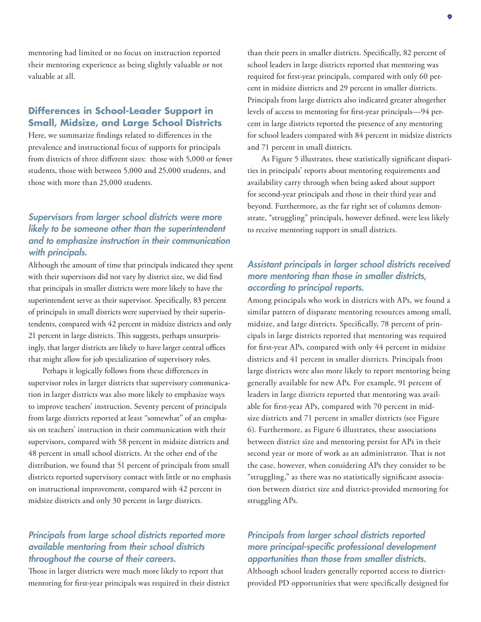mentoring had limited or no focus on instruction reported their mentoring experience as being slightly valuable or not valuable at all.

## **Differences in School-Leader Support in Small, Midsize, and Large School Districts**

Here, we summarize findings related to differences in the prevalence and instructional focus of supports for principals from districts of three different sizes: those with 5,000 or fewer students, those with between 5,000 and 25,000 students, and those with more than 25,000 students.

# *Supervisors from larger school districts were more likely to be someone other than the superintendent and to emphasize instruction in their communication with principals.*

Although the amount of time that principals indicated they spent with their supervisors did not vary by district size, we did find that principals in smaller districts were more likely to have the superintendent serve as their supervisor. Specifically, 83 percent of principals in small districts were supervised by their superintendents, compared with 42 percent in midsize districts and only 21 percent in large districts. This suggests, perhaps unsurprisingly, that larger districts are likely to have larger central offices that might allow for job specialization of supervisory roles.

Perhaps it logically follows from these differences in supervisor roles in larger districts that supervisory communication in larger districts was also more likely to emphasize ways to improve teachers' instruction. Seventy percent of principals from large districts reported at least "somewhat" of an emphasis on teachers' instruction in their communication with their supervisors, compared with 58 percent in midsize districts and 48 percent in small school districts. At the other end of the distribution, we found that 51 percent of principals from small districts reported supervisory contact with little or no emphasis on instructional improvement, compared with 42 percent in midsize districts and only 30 percent in large districts.

### *Principals from large school districts reported more available mentoring from their school districts throughout the course of their careers.*

Those in larger districts were much more likely to report that mentoring for first-year principals was required in their district than their peers in smaller districts. Specifically, 82 percent of school leaders in large districts reported that mentoring was required for first-year principals, compared with only 60 percent in midsize districts and 29 percent in smaller districts. Principals from large districts also indicated greater altogether levels of access to mentoring for first-year principals—94 percent in large districts reported the presence of any mentoring for school leaders compared with 84 percent in midsize districts and 71 percent in small districts.

As Figure 5 illustrates, these statistically significant disparities in principals' reports about mentoring requirements and availability carry through when being asked about support for second-year principals and those in their third year and beyond. Furthermore, as the far right set of columns demonstrate, "struggling" principals, however defined, were less likely to receive mentoring support in small districts.

# *Assistant principals in larger school districts received more mentoring than those in smaller districts, according to principal reports.*

Among principals who work in districts with APs, we found a similar pattern of disparate mentoring resources among small, midsize, and large districts. Specifically, 78 percent of principals in large districts reported that mentoring was required for first-year APs, compared with only 44 percent in midsize districts and 41 percent in smaller districts. Principals from large districts were also more likely to report mentoring being generally available for new APs. For example, 91 percent of leaders in large districts reported that mentoring was available for first-year APs, compared with 70 percent in midsize districts and 71 percent in smaller districts (see Figure 6). Furthermore, as Figure 6 illustrates, these associations between district size and mentoring persist for APs in their second year or more of work as an administrator. That is not the case, however, when considering APs they consider to be "struggling," as there was no statistically significant association between district size and district-provided mentoring for struggling APs.

# *Principals from larger school districts reported more principal-specific professional development opportunities than those from smaller districts.*

Although school leaders generally reported access to districtprovided PD opportunities that were specifically designed for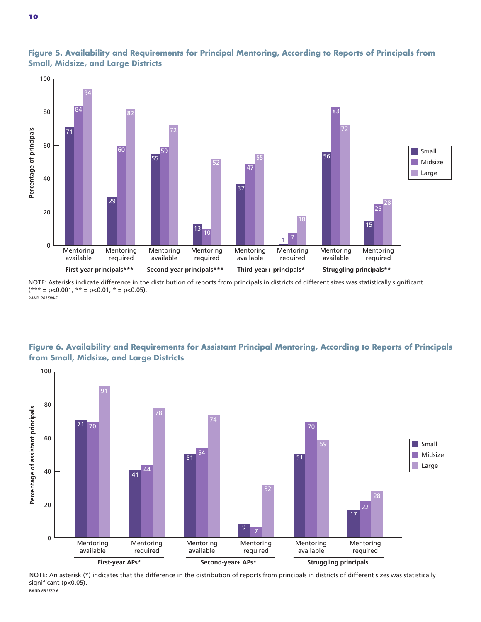

**Figure 5. Availability and Requirements for Principal Mentoring, According to Reports of Principals from Small, Midsize, and Large Districts**

NOTE: Asterisks indicate difference in the distribution of reports from principals in districts of different sizes was statistically significant  $(*** = p < 0.001, ** = p < 0.01, * = p < 0.05).$ **RAND** *RR1580-5*



**Figure 6. Availability and Requirements for Assistant Principal Mentoring, According to Reports of Principals from Small, Midsize, and Large Districts**

NOTE: An asterisk (\*) indicates that the difference in the distribution of reports from principals in districts of different sizes was statistically significant (p<0.05). **RAND** *RR1580-6*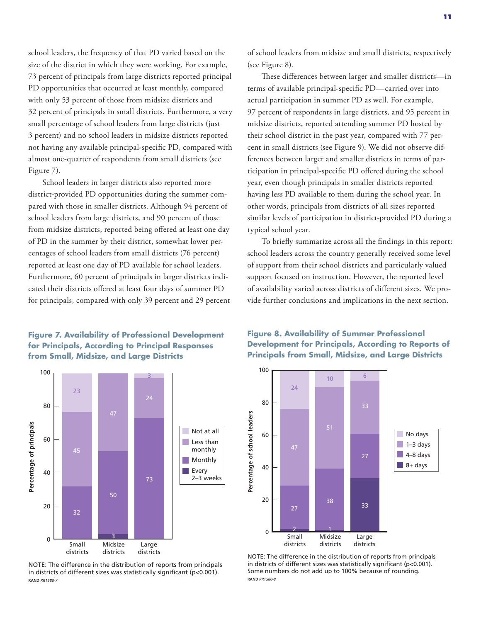school leaders, the frequency of that PD varied based on the size of the district in which they were working. For example, 73 percent of principals from large districts reported principal PD opportunities that occurred at least monthly, compared with only 53 percent of those from midsize districts and 32 percent of principals in small districts. Furthermore, a very small percentage of school leaders from large districts (just 3 percent) and no school leaders in midsize districts reported not having any available principal-specific PD, compared with almost one-quarter of respondents from small districts (see Figure 7).

School leaders in larger districts also reported more district-provided PD opportunities during the summer compared with those in smaller districts. Although 94 percent of school leaders from large districts, and 90 percent of those from midsize districts, reported being offered at least one day of PD in the summer by their district, somewhat lower percentages of school leaders from small districts (76 percent) reported at least one day of PD available for school leaders. Furthermore, 60 percent of principals in larger districts indicated their districts offered at least four days of summer PD for principals, compared with only 39 percent and 29 percent

#### **Figure 7. Availability of Professional Development for Principals, According to Principal Responses from Small, Midsize, and Large Districts**



NOTE: The difference in the distribution of reports from principals in districts of different sizes was statistically significant (p<0.001). **RAND** *RR1580-7*

of school leaders from midsize and small districts, respectively (see Figure 8).

These differences between larger and smaller districts—in terms of available principal-specific PD—carried over into actual participation in summer PD as well. For example, 97 percent of respondents in large districts, and 95 percent in midsize districts, reported attending summer PD hosted by their school district in the past year, compared with 77 percent in small districts (see Figure 9). We did not observe differences between larger and smaller districts in terms of participation in principal-specific PD offered during the school year, even though principals in smaller districts reported having less PD available to them during the school year. In other words, principals from districts of all sizes reported similar levels of participation in district-provided PD during a typical school year.

To briefly summarize across all the findings in this report: school leaders across the country generally received some level of support from their school districts and particularly valued support focused on instruction. However, the reported level of availability varied across districts of different sizes. We provide further conclusions and implications in the next section.

#### **Figure 8. Availability of Summer Professional Development for Principals, According to Reports of Principals from Small, Midsize, and Large Districts**



NOTE: The difference in the distribution of reports from principals in districts of different sizes was statistically significant ( $p<0.001$ ). Some numbers do not add up to 100% because of rounding. **RAND** *RR1580-8*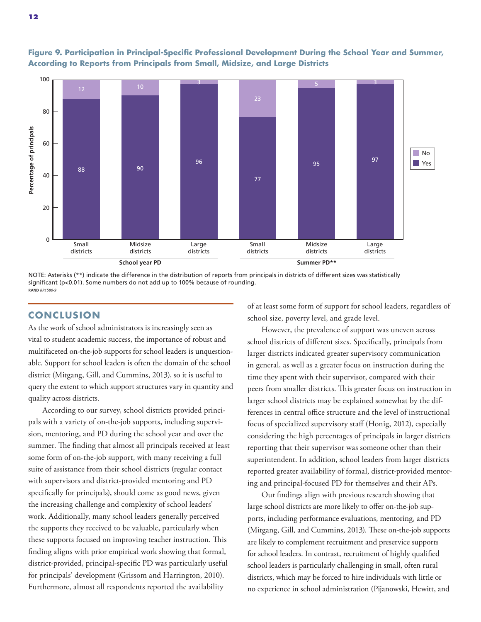

**Figure 9. Participation in Principal-Specific Professional Development During the School Year and Summer, According to Reports from Principals from Small, Midsize, and Large Districts**

NOTE: Asterisks (\*\*) indicate the difference in the distribution of reports from principals in districts of different sizes was statistically significant (p<0.01). Some numbers do not add up to 100% because of rounding. **RAND** *RR1580-9*

#### **CONCLUS ION**

As the work of school administrators is increasingly seen as vital to student academic success, the importance of robust and multifaceted on-the-job supports for school leaders is unquestionable. Support for school leaders is often the domain of the school district (Mitgang, Gill, and Cummins, 2013), so it is useful to query the extent to which support structures vary in quantity and quality across districts.

According to our survey, school districts provided principals with a variety of on-the-job supports, including supervision, mentoring, and PD during the school year and over the summer. The finding that almost all principals received at least some form of on-the-job support, with many receiving a full suite of assistance from their school districts (regular contact with supervisors and district-provided mentoring and PD specifically for principals), should come as good news, given the increasing challenge and complexity of school leaders' work. Additionally, many school leaders generally perceived the supports they received to be valuable, particularly when these supports focused on improving teacher instruction. This finding aligns with prior empirical work showing that formal, district-provided, principal-specific PD was particularly useful for principals' development (Grissom and Harrington, 2010). Furthermore, almost all respondents reported the availability

of at least some form of support for school leaders, regardless of school size, poverty level, and grade level.

However, the prevalence of support was uneven across school districts of different sizes. Specifically, principals from larger districts indicated greater supervisory communication in general, as well as a greater focus on instruction during the time they spent with their supervisor, compared with their peers from smaller districts. This greater focus on instruction in larger school districts may be explained somewhat by the differences in central office structure and the level of instructional focus of specialized supervisory staff (Honig, 2012), especially considering the high percentages of principals in larger districts reporting that their supervisor was someone other than their superintendent. In addition, school leaders from larger districts reported greater availability of formal, district-provided mentoring and principal-focused PD for themselves and their APs.

Our findings align with previous research showing that large school districts are more likely to offer on-the-job supports, including performance evaluations, mentoring, and PD (Mitgang, Gill, and Cummins, 2013). These on-the-job supports are likely to complement recruitment and preservice supports for school leaders. In contrast, recruitment of highly qualified school leaders is particularly challenging in small, often rural districts, which may be forced to hire individuals with little or no experience in school administration (Pijanowski, Hewitt, and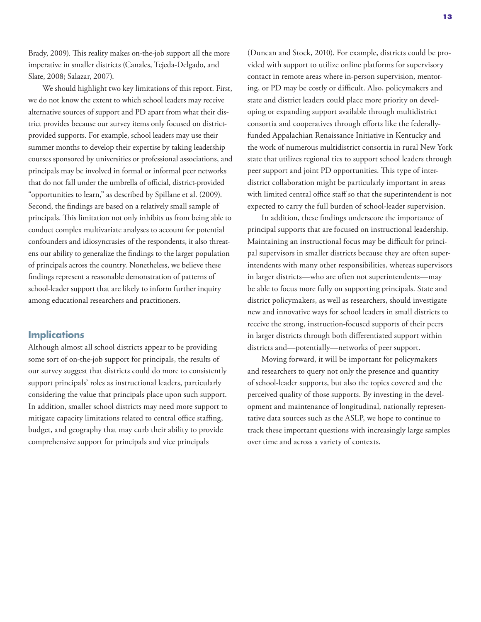Brady, 2009). This reality makes on-the-job support all the more imperative in smaller districts (Canales, Tejeda-Delgado, and Slate, 2008; Salazar, 2007).

We should highlight two key limitations of this report. First, we do not know the extent to which school leaders may receive alternative sources of support and PD apart from what their district provides because our survey items only focused on districtprovided supports. For example, school leaders may use their summer months to develop their expertise by taking leadership courses sponsored by universities or professional associations, and principals may be involved in formal or informal peer networks that do not fall under the umbrella of official, district-provided "opportunities to learn," as described by Spillane et al. (2009). Second, the findings are based on a relatively small sample of principals. This limitation not only inhibits us from being able to conduct complex multivariate analyses to account for potential confounders and idiosyncrasies of the respondents, it also threatens our ability to generalize the findings to the larger population of principals across the country. Nonetheless, we believe these findings represent a reasonable demonstration of patterns of school-leader support that are likely to inform further inquiry among educational researchers and practitioners.

#### **Implications**

Although almost all school districts appear to be providing some sort of on-the-job support for principals, the results of our survey suggest that districts could do more to consistently support principals' roles as instructional leaders, particularly considering the value that principals place upon such support. In addition, smaller school districts may need more support to mitigate capacity limitations related to central office staffing, budget, and geography that may curb their ability to provide comprehensive support for principals and vice principals

(Duncan and Stock, 2010). For example, districts could be provided with support to utilize online platforms for supervisory contact in remote areas where in-person supervision, mentoring, or PD may be costly or difficult. Also, policymakers and state and district leaders could place more priority on developing or expanding support available through multidistrict consortia and cooperatives through efforts like the federallyfunded Appalachian Renaissance Initiative in Kentucky and the work of numerous multidistrict consortia in rural New York state that utilizes regional ties to support school leaders through peer support and joint PD opportunities. This type of interdistrict collaboration might be particularly important in areas with limited central office staff so that the superintendent is not expected to carry the full burden of school-leader supervision.

In addition, these findings underscore the importance of principal supports that are focused on instructional leadership. Maintaining an instructional focus may be difficult for principal supervisors in smaller districts because they are often superintendents with many other responsibilities, whereas supervisors in larger districts—who are often not superintendents—may be able to focus more fully on supporting principals. State and district policymakers, as well as researchers, should investigate new and innovative ways for school leaders in small districts to receive the strong, instruction-focused supports of their peers in larger districts through both differentiated support within districts and—potentially—networks of peer support.

Moving forward, it will be important for policymakers and researchers to query not only the presence and quantity of school-leader supports, but also the topics covered and the perceived quality of those supports. By investing in the development and maintenance of longitudinal, nationally representative data sources such as the ASLP, we hope to continue to track these important questions with increasingly large samples over time and across a variety of contexts.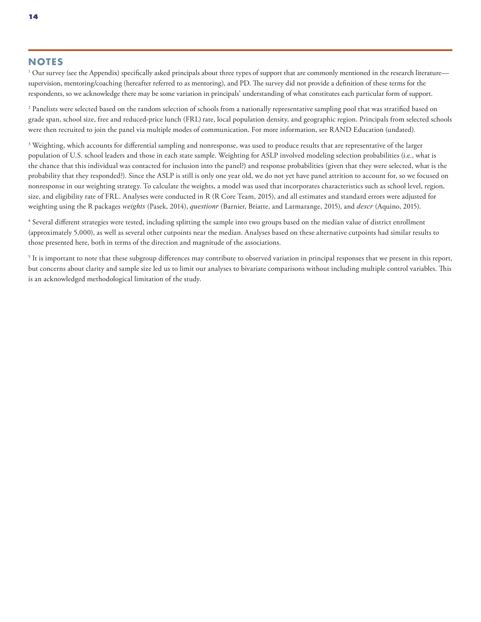#### **NOTES**

 $^{\rm 1}$  Our survey (see the Appendix) specifically asked principals about three types of support that are commonly mentioned in the research literature supervision, mentoring/coaching (hereafter referred to as mentoring), and PD. The survey did not provide a definition of these terms for the respondents, so we acknowledge there may be some variation in principals' understanding of what constitutes each particular form of support.

 $^2$  Panelists were selected based on the random selection of schools from a nationally representative sampling pool that was stratified based on grade span, school size, free and reduced-price lunch (FRL) rate, local population density, and geographic region. Principals from selected schools were then recruited to join the panel via multiple modes of communication. For more information, see RAND Education (undated).

 $\rm{^3}$  Weighting, which accounts for differential sampling and nonresponse, was used to produce results that are representative of the larger population of U.S. school leaders and those in each state sample. Weighting for ASLP involved modeling selection probabilities (i.e., what is the chance that this individual was contacted for inclusion into the panel?) and response probabilities (given that they were selected, what is the probability that they responded?). Since the ASLP is still is only one year old, we do not yet have panel attrition to account for, so we focused on nonresponse in our weighting strategy. To calculate the weights, a model was used that incorporates characteristics such as school level, region, size, and eligibility rate of FRL. Analyses were conducted in R (R Core Team, 2015), and all estimates and standard errors were adjusted for weighting using the R packages *weights* (Pasek, 2014), *questionr* (Barnier, Briatte, and Larmarange, 2015), and *descr* (Aquino, 2015).

4 Several different strategies were tested, including splitting the sample into two groups based on the median value of district enrollment (approximately 5,000), as well as several other cutpoints near the median. Analyses based on these alternative cutpoints had similar results to those presented here, both in terms of the direction and magnitude of the associations.

 $5$  It is important to note that these subgroup differences may contribute to observed variation in principal responses that we present in this report, but concerns about clarity and sample size led us to limit our analyses to bivariate comparisons without including multiple control variables. This is an acknowledged methodological limitation of the study.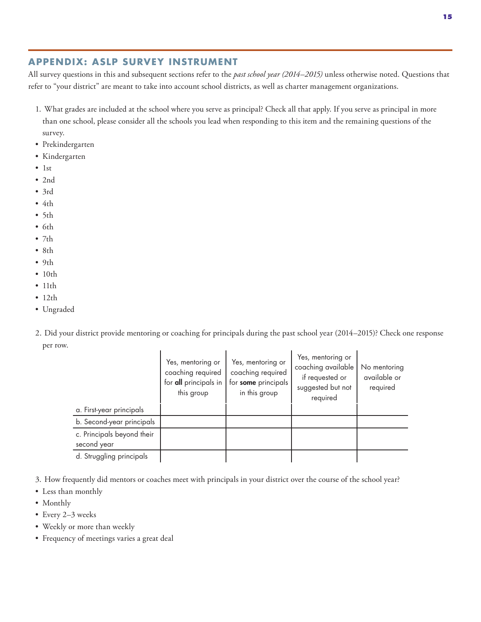#### **15**

# **APPENDIX: ASLP SURVEY INSTRUMENT**

All survey questions in this and subsequent sections refer to the *past school year (2014–2015)* unless otherwise noted. Questions that refer to "your district" are meant to take into account school districts, as well as charter management organizations.

- 1. What grades are included at the school where you serve as principal? Check all that apply. If you serve as principal in more than one school, please consider all the schools you lead when responding to this item and the remaining questions of the survey.
- Prekindergarten
- Kindergarten
- 1st
- 2nd
- 3rd
- $4th$
- 5th
- 6th
- $7th$
- 8th
- 9th
- $\cdot$  10th
- 11th
- $\cdot$  12th
- Ungraded
- 2. Did your district provide mentoring or coaching for principals during the past school year (2014–2015)? Check one response per row.

|                                           | Yes, mentoring or<br>coaching required<br>for all principals in<br>this group | Yes, mentoring or<br>coaching required<br>for some principals<br>in this group | Yes, mentoring or<br>coaching available<br>if requested or<br>suggested but not<br>required | No mentoring<br>available or<br>required |
|-------------------------------------------|-------------------------------------------------------------------------------|--------------------------------------------------------------------------------|---------------------------------------------------------------------------------------------|------------------------------------------|
| a. First-year principals                  |                                                                               |                                                                                |                                                                                             |                                          |
| b. Second-year principals                 |                                                                               |                                                                                |                                                                                             |                                          |
| c. Principals beyond their<br>second year |                                                                               |                                                                                |                                                                                             |                                          |
| d. Struggling principals                  |                                                                               |                                                                                |                                                                                             |                                          |

- 3. How frequently did mentors or coaches meet with principals in your district over the course of the school year?
- Less than monthly
- Monthly
- Every 2–3 weeks
- Weekly or more than weekly
- Frequency of meetings varies a great deal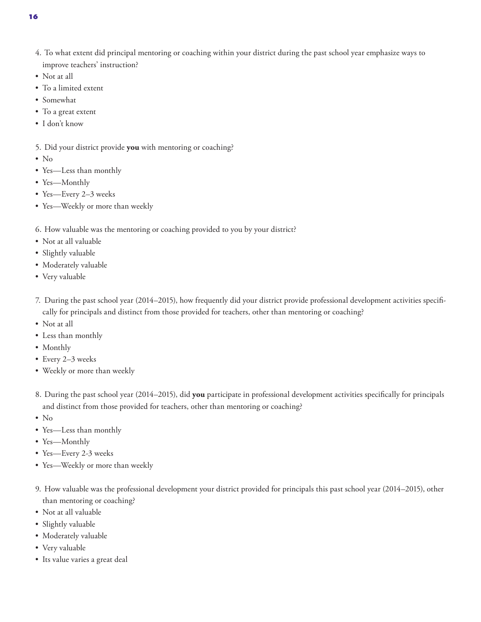- 4. To what extent did principal mentoring or coaching within your district during the past school year emphasize ways to improve teachers' instruction?
- Not at all
- To a limited extent
- Somewhat
- To a great extent
- I don't know
- 5. Did your district provide **you** with mentoring or coaching?
- No
- Yes—Less than monthly
- Yes—Monthly
- Yes—Every 2–3 weeks
- Yes—Weekly or more than weekly
- 6. How valuable was the mentoring or coaching provided to you by your district?
- Not at all valuable
- Slightly valuable
- Moderately valuable
- Very valuable
- 7. During the past school year (2014–2015), how frequently did your district provide professional development activities specifically for principals and distinct from those provided for teachers, other than mentoring or coaching?
- Not at all
- Less than monthly
- Monthly
- Every 2–3 weeks
- Weekly or more than weekly
- 8. During the past school year (2014–2015), did **you** participate in professional development activities specifically for principals and distinct from those provided for teachers, other than mentoring or coaching?
- No
- Yes—Less than monthly
- Yes—Monthly
- Yes—Every 2-3 weeks
- Yes—Weekly or more than weekly
- 9. How valuable was the professional development your district provided for principals this past school year (2014–2015), other than mentoring or coaching?
- Not at all valuable
- Slightly valuable
- Moderately valuable
- Very valuable
- Its value varies a great deal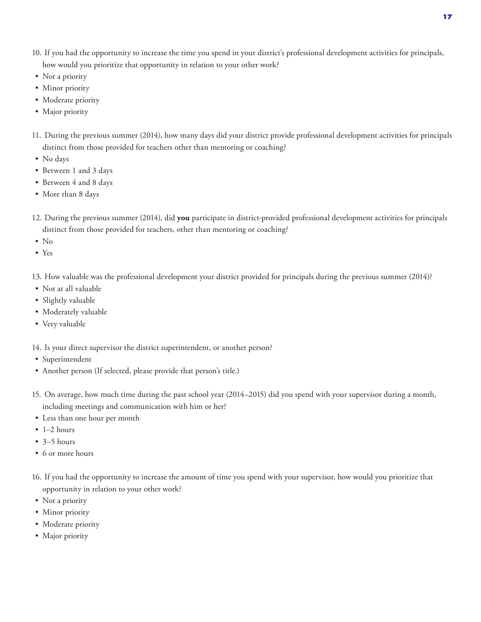- 10. If you had the opportunity to increase the time you spend in your district's professional development activities for principals, how would you prioritize that opportunity in relation to your other work?
- Not a priority
- Minor priority
- Moderate priority
- Major priority
- 11. During the previous summer (2014), how many days did your district provide professional development activities for principals distinct from those provided for teachers other than mentoring or coaching?
- No days
- Between 1 and 3 days
- Between 4 and 8 days
- More than 8 days
- 12. During the previous summer (2014), did **you** participate in district-provided professional development activities for principals distinct from those provided for teachers, other than mentoring or coaching?
- No
- Yes
- 13. How valuable was the professional development your district provided for principals during the previous summer (2014)?
- Not at all valuable
- Slightly valuable
- Moderately valuable
- Very valuable
- 14. Is your direct supervisor the district superintendent, or another person?
- Superintendent
- Another person (If selected, please provide that person's title.)
- 15. On average, how much time during the past school year (2014–2015) did you spend with your supervisor during a month, including meetings and communication with him or her?
- Less than one hour per month
- $\bullet$  1–2 hours
- 3–5 hours
- 6 or more hours
- 16. If you had the opportunity to increase the amount of time you spend with your supervisor, how would you prioritize that opportunity in relation to your other work?
- Not a priority
- Minor priority
- Moderate priority
- Major priority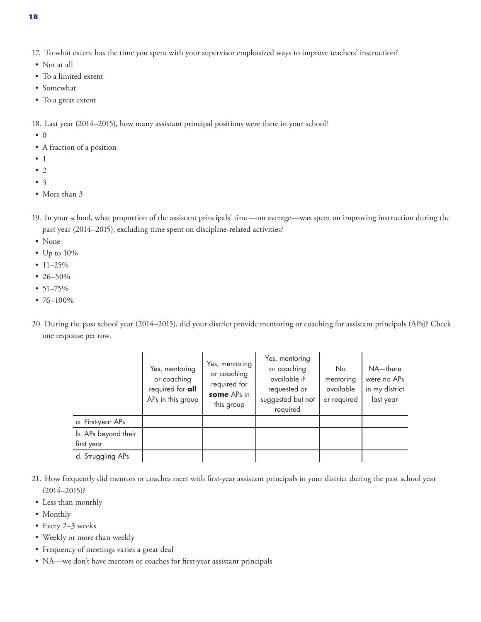- Not at all
- To a limited extent
- Somewhat
- To a great extent

18. Last year (2014–2015), how many assistant principal positions were there in your school?

- 0
- A fraction of a position
- 1
- 2
- 3
- More than 3
- 19. In your school, what proportion of the assistant principals' time—on average—was spent on improving instruction during the past year (2014–2015), excluding time spent on discipline-related activities?
- None
- Up to 10%
- 11–25%
- 26–50%
- 51–75%
- 76–100%
- 20. During the past school year (2014–2015), did your district provide mentoring or coaching for assistant principals (APs)? Check one response per row.

|                                   | Yes, mentoring<br>or coaching<br>required for <b>all</b><br>APs in this group | Yes, mentoring<br>or coaching<br>required for<br>some APs in<br>this group | Yes, mentoring<br>or coaching<br>available if<br>requested or<br>suggested but not<br>required | No<br>mentoring<br>available<br>or required | $NA$ -there<br>were no APs<br>in my district<br>last year |
|-----------------------------------|-------------------------------------------------------------------------------|----------------------------------------------------------------------------|------------------------------------------------------------------------------------------------|---------------------------------------------|-----------------------------------------------------------|
| a. First-year APs                 |                                                                               |                                                                            |                                                                                                |                                             |                                                           |
| b. APs beyond their<br>first year |                                                                               |                                                                            |                                                                                                |                                             |                                                           |
| d. Struggling APs                 |                                                                               |                                                                            |                                                                                                |                                             |                                                           |

- 21. How frequently did mentors or coaches meet with first-year assistant principals in your district during the past school year (2014–2015)?
- Less than monthly

- Monthly
- Every 2–3 weeks
- Weekly or more than weekly
- Frequency of meetings varies a great deal
- NA—we don't have mentors or coaches for first-year assistant principals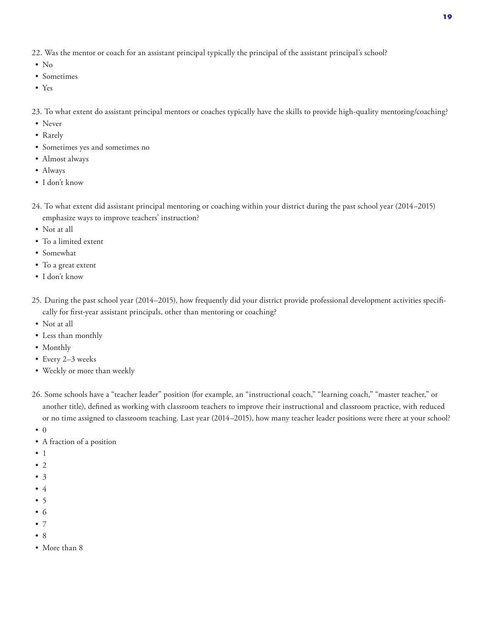22. Was the mentor or coach for an assistant principal typically the principal of the assistant principal's school?

- No
- Sometimes
- Yes

23. To what extent do assistant principal mentors or coaches typically have the skills to provide high-quality mentoring/coaching?

- Never
- Rarely
- Sometimes yes and sometimes no
- Almost always
- Always
- I don't know
- 24. To what extent did assistant principal mentoring or coaching within your district during the past school year (2014–2015) emphasize ways to improve teachers' instruction?
- Not at all
- To a limited extent
- Somewhat
- To a great extent
- I don't know
- 25. During the past school year (2014–2015), how frequently did your district provide professional development activities specifically for first-year assistant principals, other than mentoring or coaching?
- Not at all
- Less than monthly
- Monthly
- Every 2–3 weeks
- Weekly or more than weekly
- 26. Some schools have a "teacher leader" position (for example, an "instructional coach," "learning coach," "master teacher," or another title), defined as working with classroom teachers to improve their instructional and classroom practice, with reduced or no time assigned to classroom teaching. Last year (2014–2015), how many teacher leader positions were there at your school?
- 0
- A fraction of a position
- 1
- $\bullet$  2
- 3
- 4
- 5
- 6
- 7
- 8
- More than 8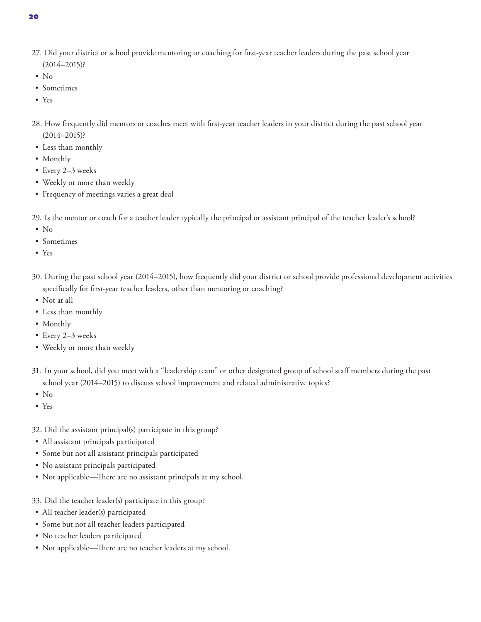**20**

- 27. Did your district or school provide mentoring or coaching for first-year teacher leaders during the past school year (2014–2015)?
- No
- Sometimes
- Yes
- 28. How frequently did mentors or coaches meet with first-year teacher leaders in your district during the past school year (2014–2015)?
- Less than monthly
- Monthly
- Every 2–3 weeks
- Weekly or more than weekly
- Frequency of meetings varies a great deal
- 29. Is the mentor or coach for a teacher leader typically the principal or assistant principal of the teacher leader's school?
- No
- Sometimes
- Yes
- 30. During the past school year (2014–2015), how frequently did your district or school provide professional development activities specifically for first-year teacher leaders, other than mentoring or coaching?
- Not at all
- Less than monthly
- Monthly
- Every 2–3 weeks
- Weekly or more than weekly
- 31. In your school, did you meet with a "leadership team" or other designated group of school staff members during the past school year (2014–2015) to discuss school improvement and related administrative topics?
- No
- Yes
- 32. Did the assistant principal(s) participate in this group?
- All assistant principals participated
- Some but not all assistant principals participated
- No assistant principals participated
- Not applicable—There are no assistant principals at my school.
- 33. Did the teacher leader(s) participate in this group?
- All teacher leader(s) participated
- Some but not all teacher leaders participated
- No teacher leaders participated
- Not applicable—There are no teacher leaders at my school.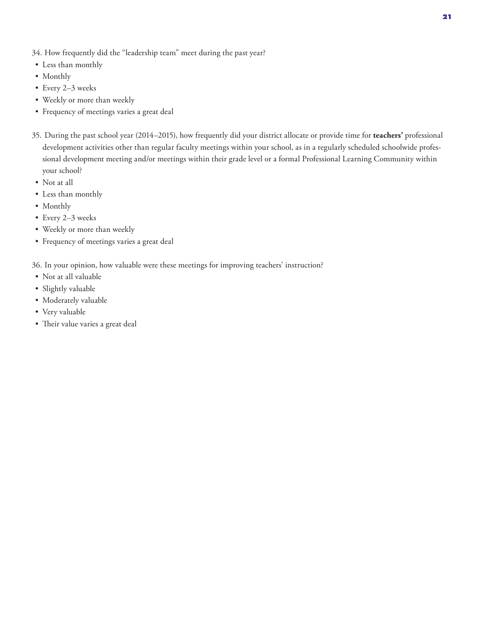- 34. How frequently did the "leadership team" meet during the past year?
- Less than monthly
- Monthly
- Every 2–3 weeks
- Weekly or more than weekly
- Frequency of meetings varies a great deal
- 35. During the past school year (2014–2015), how frequently did your district allocate or provide time for **teachers'** professional development activities other than regular faculty meetings within your school, as in a regularly scheduled schoolwide professional development meeting and/or meetings within their grade level or a formal Professional Learning Community within your school?
- Not at all
- Less than monthly
- Monthly
- Every 2–3 weeks
- Weekly or more than weekly
- Frequency of meetings varies a great deal

36. In your opinion, how valuable were these meetings for improving teachers' instruction?

- Not at all valuable
- Slightly valuable
- Moderately valuable
- Very valuable
- Their value varies a great deal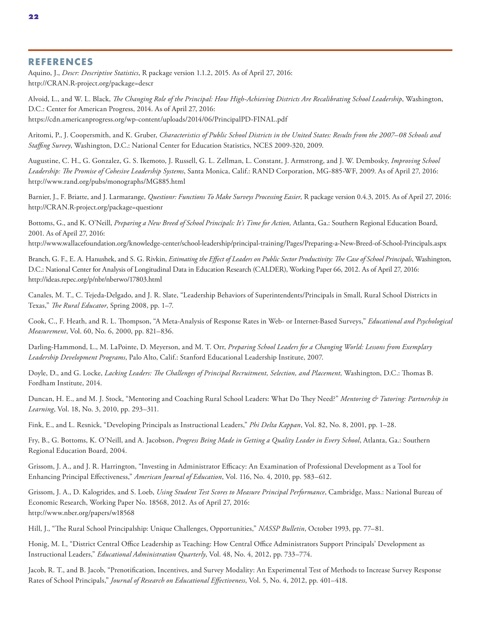#### **REFERENCES**

Aquino, J., *Descr: Descriptive Statistics*, R package version 1.1.2, 2015. As of April 27, 2016: http://CRAN.R-project.org/package=descr

Alvoid, L., and W. L. Black, *The Changing Role of the Principal: How High-Achieving Districts Are Recalibrating School Leadership*, Washington, D.C.: Center for American Progress, 2014. As of April 27, 2016: https://cdn.americanprogress.org/wp-content/uploads/2014/06/PrincipalPD-FINAL.pdf

Aritomi, P., J. Coopersmith, and K. Gruber, *Characteristics of Public School Districts in the United States: Results from the 2007–08 Schools and Staffing Survey*, Washington, D.C.: National Center for Education Statistics, NCES 2009-320, 2009.

Augustine, C. H., G. Gonzalez, G. S. Ikemoto, J. Russell, G. L. Zellman, L. Constant, J. Armstrong, and J. W. Dembosky, *Improving School Leadership: The Promise of Cohesive Leadership Systems*, Santa Monica, Calif.: RAND Corporation, MG-885-WF, 2009. As of April 27, 2016: http://www.rand.org/pubs/monographs/MG885.html

Barnier, J., F. Briatte, and J. Larmarange, *Questionr: Functions To Make Surveys Processing Easier,* R package version 0.4.3, 2015. As of April 27, 2016: http://CRAN.R-project.org/package=questionr

Bottoms, G., and K. O'Neill, *Preparing a New Breed of School Principals: It's Time for Action,* Atlanta, Ga.: Southern Regional Education Board, 2001. As of April 27, 2016:

http://www.wallacefoundation.org/knowledge-center/school-leadership/principal-training/Pages/Preparing-a-New-Breed-of-School-Principals.aspx

Branch, G. F., E. A. Hanushek, and S. G. Rivkin, *Estimating the Effect of Leaders on Public Sector Productivity: The Case of School Principals*, Washington, D.C.: National Center for Analysis of Longitudinal Data in Education Research (CALDER), Working Paper 66, 2012. As of April 27, 2016: http://ideas.repec.org/p/nbr/nberwo/17803.html

Canales, M. T., C. Tejeda-Delgado, and J. R. Slate, "Leadership Behaviors of Superintendents/Principals in Small, Rural School Districts in Texas," *The Rural Educator*, Spring 2008, pp. 1–7.

Cook, C., F. Heath, and R. L. Thompson, "A Meta-Analysis of Response Rates in Web- or Internet-Based Surveys," *Educational and Psychological Measurement*, Vol. 60, No. 6, 2000, pp. 821–836.

Darling-Hammond, L., M. LaPointe, D. Meyerson, and M. T. Orr, *Preparing School Leaders for a Changing World: Lessons from Exemplary Leadership Development Programs*, Palo Alto, Calif.: Stanford Educational Leadership Institute, 2007.

Doyle, D., and G. Locke, *Lacking Leaders: The Challenges of Principal Recruitment, Selection, and Placement,* Washington, D.C.: Thomas B. Fordham Institute, 2014.

Duncan, H. E., and M. J. Stock, "Mentoring and Coaching Rural School Leaders: What Do They Need?" *Mentoring & Tutoring: Partnership in Learning*, Vol. 18, No. 3, 2010, pp. 293–311.

Fink, E., and L. Resnick, "Developing Principals as Instructional Leaders," *Phi Delta Kappan*, Vol. 82, No. 8, 2001, pp. 1–28.

Fry, B., G. Bottoms, K. O'Neill, and A. Jacobson, *Progress Being Made in Getting a Quality Leader in Every School*, Atlanta, Ga.: Southern Regional Education Board, 2004.

Grissom, J. A., and J. R. Harrington, "Investing in Administrator Efficacy: An Examination of Professional Development as a Tool for Enhancing Principal Effectiveness," *American Journal of Education*, Vol. 116, No. 4, 2010, pp. 583–612.

Grissom, J. A., D. Kalogrides, and S. Loeb, *Using Student Test Scores to Measure Principal Performance*, Cambridge, Mass.: National Bureau of Economic Research, Working Paper No. 18568, 2012. As of April 27, 2016: http://www.nber.org/papers/w18568

Hill, J., "The Rural School Principalship: Unique Challenges, Opportunities," *NASSP Bulletin*, October 1993, pp. 77–81.

Honig, M. I., "District Central Office Leadership as Teaching: How Central Office Administrators Support Principals' Development as Instructional Leaders," *Educational Administration Quarterly*, Vol. 48, No. 4, 2012, pp. 733–774.

Jacob, R. T., and B. Jacob, "Prenotification, Incentives, and Survey Modality: An Experimental Test of Methods to Increase Survey Response Rates of School Principals," *Journal of Research on Educational Effectiveness*, Vol. 5, No. 4, 2012, pp. 401–418.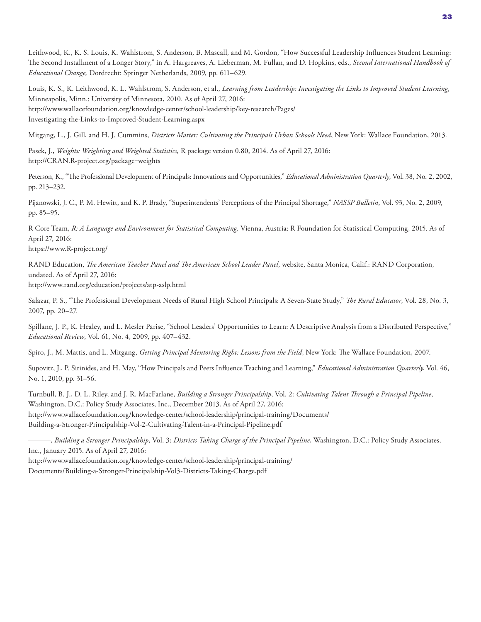Leithwood, K., K. S. Louis, K. Wahlstrom, S. Anderson, B. Mascall, and M. Gordon, "How Successful Leadership Influences Student Learning: The Second Installment of a Longer Story," in A. Hargreaves, A. Lieberman, M. Fullan, and D. Hopkins, eds., *Second International Handbook of Educational Change,* Dordrecht: Springer Netherlands, 2009, pp. 611–629.

Louis, K. S., K. Leithwood, K. L. Wahlstrom, S. Anderson, et al., *Learning from Leadership: Investigating the Links to Improved Student Learning*, Minneapolis, Minn.: University of Minnesota, 2010. As of April 27, 2016: http://www.wallacefoundation.org/knowledge-center/school-leadership/key-research/Pages/ Investigating-the-Links-to-Improved-Student-Learning.aspx

Mitgang, L., J. Gill, and H. J. Cummins, *Districts Matter: Cultivating the Principals Urban Schools Need*, New York: Wallace Foundation, 2013.

Pasek, J., *Weights: Weighting and Weighted Statistics,* R package version 0.80, 2014. As of April 27, 2016: http://CRAN.R-project.org/package=weights

Peterson, K., "The Professional Development of Principals: Innovations and Opportunities," *Educational Administration Quarterly*, Vol. 38, No. 2, 2002, pp. 213–232.

Pijanowski, J. C., P. M. Hewitt, and K. P. Brady, "Superintendents' Perceptions of the Principal Shortage," *NASSP Bulletin*, Vol. 93, No. 2, 2009, pp. 85–95.

R Core Team, *R: A Language and Environment for Statistical Computing,* Vienna, Austria: R Foundation for Statistical Computing, 2015. As of April 27, 2016:

https://www.R-project.org/

RAND Education, *The American Teacher Panel and The American School Leader Panel*, website, Santa Monica, Calif.: RAND Corporation, undated. As of April 27, 2016:

http://www.rand.org/education/projects/atp-aslp.html

Salazar, P. S., "The Professional Development Needs of Rural High School Principals: A Seven-State Study," *The Rural Educator*, Vol. 28, No. 3, 2007, pp. 20–27.

Spillane, J. P., K. Healey, and L. Mesler Parise, "School Leaders' Opportunities to Learn: A Descriptive Analysis from a Distributed Perspective," *Educational Review*, Vol. 61, No. 4, 2009, pp. 407–432.

Spiro, J., M. Mattis, and L. Mitgang, *Getting Principal Mentoring Right: Lessons from the Field*, New York: The Wallace Foundation, 2007.

Supovitz, J., P. Sirinides, and H. May, "How Principals and Peers Influence Teaching and Learning," *Educational Administration Quarterly*, Vol. 46, No. 1, 2010, pp. 31–56.

Turnbull, B. J., D. L. Riley, and J. R. MacFarlane, *Building a Stronger Principalship*, Vol. 2: *Cultivating Talent Through a Principal Pipeline*, Washington, D.C.: Policy Study Associates, Inc., December 2013. As of April 27, 2016: http://www.wallacefoundation.org/knowledge-center/school-leadership/principal-training/Documents/ Building-a-Stronger-Principalship-Vol-2-Cultivating-Talent-in-a-Principal-Pipeline.pdf

———, *Building a Stronger Principalship*, Vol. 3: *Districts Taking Charge of the Principal Pipeline*, Washington, D.C.: Policy Study Associates, Inc., January 2015. As of April 27, 2016:

http://www.wallacefoundation.org/knowledge-center/school-leadership/principal-training/ Documents/Building-a-Stronger-Principalship-Vol3-Districts-Taking-Charge.pdf